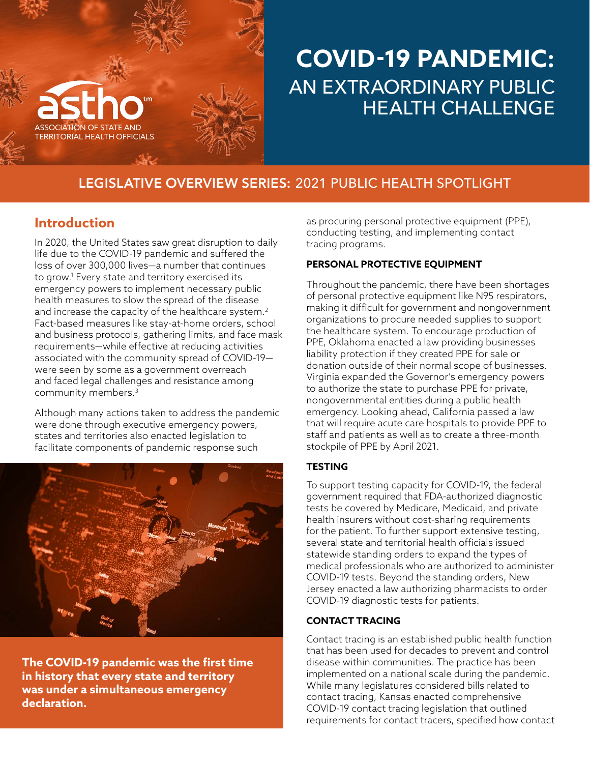

## **COVID-19 PANDEMIC:**  AN EXTRAORDINARY PUBLIC HEALTH CHALLENGE

## **LEGISLATIVE OVERVIEW SERIES:** 2021 PUBLIC HEALTH SPOTLIGHT

## **Introduction**

In 2020, the United States saw great disruption to daily life due to the COVID-19 pandemic and suffered the loss of over 300,000 lives—a number that continues to grow[.1](#page-1-0) Every state and territory exercised its emergency powers to implement necessary public health measures to slow the spread of the disease and increase the capacity of the healthcare system.<sup>2</sup> Fact-based measures like stay-at-home orders, school and business protocols, gathering limits, and face mask requirements—while effective at reducing activities associated with the community spread of COVID-19 were seen by some as a government overreach and faced legal challenges and resistance among community members[.3](#page-1-0)

Although many actions taken to address the pandemic were done through executive emergency powers, states and territories also enacted legislation to facilitate components of pandemic response such



**The COVID-19 pandemic was the first time in history that every state and territory was under a simultaneous emergency declaration.**

as procuring personal protective equipment (PPE), conducting testing, and implementing contact tracing programs.

#### **PERSONAL PROTECTIVE EQUIPMENT**

Throughout the pandemic, there have been shortages of personal protective equipment like N95 respirators, making it difficult for government and nongovernment organizations to procure needed supplies to support the healthcare system. To encourage production of PPE, Oklahoma enacted a law providing businesses liability protection if they created PPE for sale or donation outside of their normal scope of businesses. Virginia expanded the Governor's emergency powers to authorize the state to purchase PPE for private, nongovernmental entities during a public health emergency. Looking ahead, California passed a law that will require acute care hospitals to provide PPE to staff and patients as well as to create a three-month stockpile of PPE by April 2021.

#### **TESTING**

To support testing capacity for COVID-19, the federal government required that FDA-authorized diagnostic tests be covered by Medicare, Medicaid, and private health insurers without cost-sharing requirements for the patient. To further support extensive testing, several state and territorial health officials issued statewide standing orders to expand the types of medical professionals who are authorized to administer COVID-19 tests. Beyond the standing orders, New Jersey enacted a law authorizing pharmacists to order COVID-19 diagnostic tests for patients.

#### **CONTACT TRACING**

Contact tracing is an established public health function that has been used for decades to prevent and control disease within communities. The practice has been implemented on a national scale during the pandemic. While many legislatures considered bills related to contact tracing, Kansas enacted comprehensive COVID-19 contact tracing legislation that outlined requirements for contact tracers, specified how contact